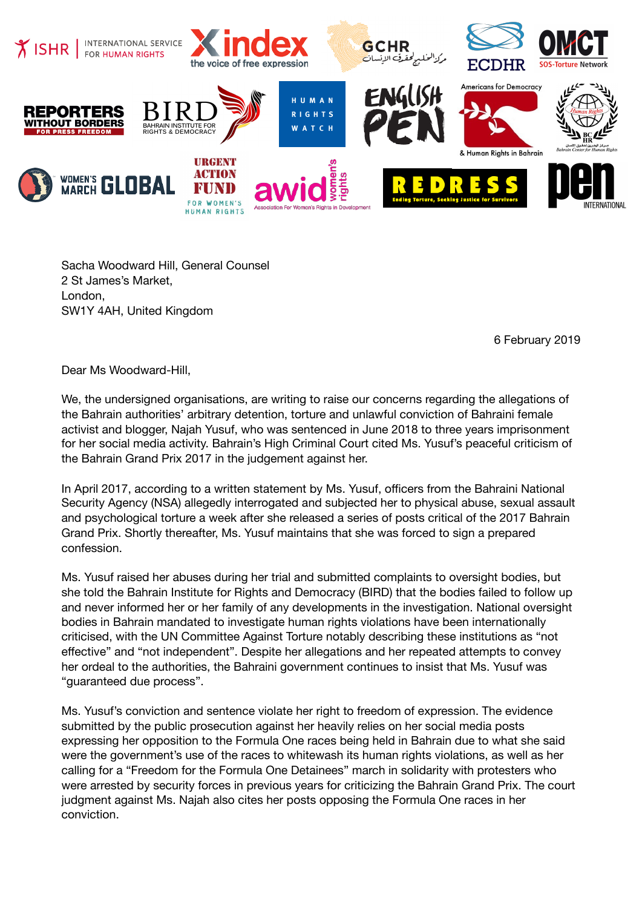

Sacha Woodward Hill, General Counsel 2 St James's Market, London, SW1Y 4AH, United Kingdom

6 February 2019

Dear Ms Woodward-Hill,

We, the undersigned organisations, are writing to raise our concerns regarding the allegations of the Bahrain authorities' arbitrary detention, torture and unlawful conviction of Bahraini female activist and blogger, Najah Yusuf, who was sentenced in June 2018 to three years imprisonment for her social media activity. Bahrain's High Criminal Court cited Ms. Yusuf's peaceful criticism of the Bahrain Grand Prix 2017 in the judgement against her.

In April 2017, according to a written statement by Ms. Yusuf, officers from the Bahraini National Security Agency (NSA) allegedly interrogated and subjected her to physical abuse, sexual assault and psychological torture a week after she released a series of posts critical of the 2017 Bahrain Grand Prix. Shortly thereafter, Ms. Yusuf maintains that she was forced to sign a prepared confession.

Ms. Yusuf raised her abuses during her trial and submitted complaints to oversight bodies, but she told the Bahrain Institute for Rights and Democracy (BIRD) that the bodies failed to follow up and never informed her or her family of any developments in the investigation. National oversight bodies in Bahrain mandated to investigate human rights violations have been internationally criticised, with the UN Committee Against Torture notably describing these institutions as "not effective" and "not independent". Despite her allegations and her repeated attempts to convey her ordeal to the authorities, the Bahraini government continues to insist that Ms. Yusuf was "guaranteed due process".

Ms. Yusuf's conviction and sentence violate her right to freedom of expression. The evidence submitted by the public prosecution against her heavily relies on her social media posts expressing her opposition to the Formula One races being held in Bahrain due to what she said were the government's use of the races to whitewash its human rights violations, as well as her calling for a "Freedom for the Formula One Detainees" march in solidarity with protesters who were arrested by security forces in previous years for criticizing the Bahrain Grand Prix. The court judgment against Ms. Najah also cites her posts opposing the Formula One races in her conviction.